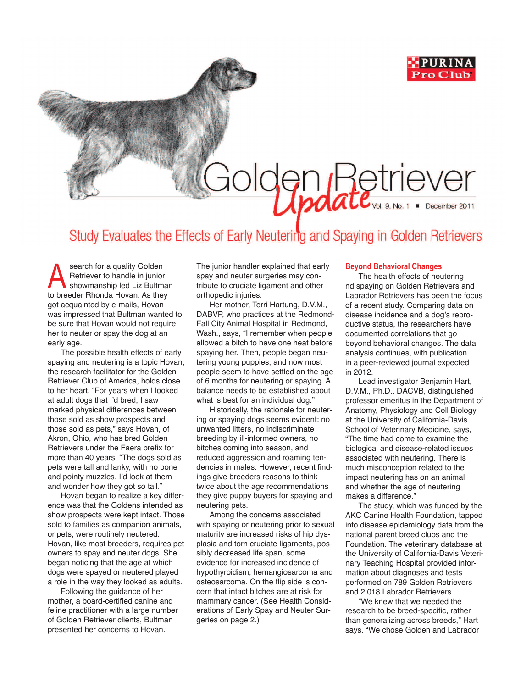

## <u>Indate<sub>val 9. No. 1</sub> . December 2011</u>

## Study Evaluates the Effects of Early Neutering and Spaying in Golden Retrievers

Search for a quality Golden<br>
Retriever to handle in junior<br>
showmanship led Liz Bultman<br>
the brocker of the lines Retriever to handle in junior to breeder Rhonda Hovan. As they got acquainted by e-mails, Hovan was impressed that Bultman wanted to be sure that Hovan would not require her to neuter or spay the dog at an early age.

The possible health effects of early spaying and neutering is a topic Hovan, the research facilitator for the Golden Retriever Club of America, holds close to her heart. "For years when I looked at adult dogs that I'd bred, I saw marked physical differences between those sold as show prospects and those sold as pets," says Hovan, of Akron, Ohio, who has bred Golden Retrievers under the Faera prefix for more than 40 years. "The dogs sold as pets were tall and lanky, with no bone and pointy muzzles. I'd look at them and wonder how they got so tall."

Hovan began to realize a key difference was that the Goldens intended as show prospects were kept intact. Those sold to families as companion animals, or pets, were routinely neutered. Hovan, like most breeders, requires pet owners to spay and neuter dogs. She began noticing that the age at which dogs were spayed or neutered played a role in the way they looked as adults.

Following the guidance of her mother, a board-certified canine and feline practitioner with a large number of Golden Retriever clients, Bultman presented her concerns to Hovan.

The junior handler explained that early spay and neuter surgeries may contribute to cruciate ligament and other orthopedic injuries.

Her mother, Terri Hartung, D.V.M., DABVP, who practices at the Redmond-Fall City Animal Hospital in Redmond, Wash., says, "I remember when people allowed a bitch to have one heat before spaying her. Then, people began neutering young puppies, and now most people seem to have settled on the age of 6 months for neutering or spaying. A balance needs to be established about what is best for an individual dog."

Historically, the rationale for neutering or spaying dogs seems evident: no unwanted litters, no indiscriminate breeding by ill-informed owners, no bitches coming into season, and reduced aggression and roaming tendencies in males. However, recent findings give breeders reasons to think twice about the age recommendations they give puppy buyers for spaying and neutering pets.

Among the concerns associated with spaying or neutering prior to sexual maturity are increased risks of hip dysplasia and torn cruciate ligaments, possibly decreased life span, some evidence for increased incidence of hypothyroidism, hemangiosarcoma and osteosarcoma. On the flip side is concern that intact bitches are at risk for mammary cancer. (See Health Considerations of Early Spay and Neuter Surgeries on page 2.)

## **Beyond Behavioral Changes**

The health effects of neutering nd spaying on Golden Retrievers and Labrador Retrievers has been the focus of a recent study. Comparing data on disease incidence and a dog's reproductive status, the researchers have documented correlations that go beyond behavioral changes. The data analysis continues, with publication in a peer-reviewed journal expected in 2012.

Lead investigator Benjamin Hart, D.V.M., Ph.D., DACVB, distinguished professor emeritus in the Department of Anatomy, Physiology and Cell Biology at the University of California-Davis School of Veterinary Medicine, says, "The time had come to examine the biological and disease-related issues associated with neutering. There is much misconception related to the impact neutering has on an animal and whether the age of neutering makes a difference."

The study, which was funded by the AKC Canine Health Foundation, tapped into disease epidemiology data from the national parent breed clubs and the Foundation. The veterinary database at the University of California-Davis Veterinary Teaching Hospital provided information about diagnoses and tests performed on 789 Golden Retrievers and 2,018 Labrador Retrievers.

"We knew that we needed the research to be breed-specific, rather than generalizing across breeds," Hart says. "We chose Golden and Labrador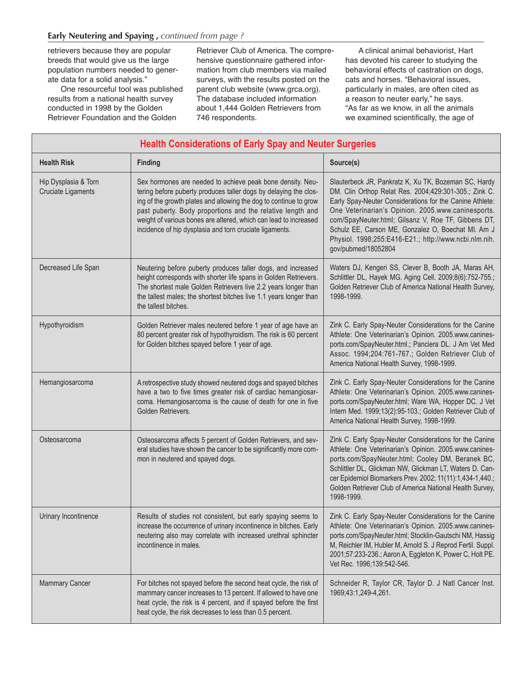retrievers because they are popular breeds that would give us the large population numbers needed to generate data for a solid analysis."

One resourceful tool was published results from a national health survey conducted in 1998 by the Golden Retriever Foundation and the Golden

Retriever Club of America. The comprehensive questionnaire gathered information from club members via mailed surveys, with the results posted on the parent club website (www.grca.org). The database included information about 1,444 Golden Retrievers from 746 respondents.

A clinical animal behaviorist, Hart has devoted his career to studying the behavioral effects of castration on dogs, cats and horses. "Behavioral issues, particularly in males, are often cited as a reason to neuter early," he says. "As far as we know, in all the animals we examined scientifically, the age of

| <b>Health Considerations of Early Spay and Neuter Surgeries</b> |                                                                                                                                                                                                                                                                                                                                                                                                  |                                                                                                                                                                                                                                                                                                                                                                                                                              |
|-----------------------------------------------------------------|--------------------------------------------------------------------------------------------------------------------------------------------------------------------------------------------------------------------------------------------------------------------------------------------------------------------------------------------------------------------------------------------------|------------------------------------------------------------------------------------------------------------------------------------------------------------------------------------------------------------------------------------------------------------------------------------------------------------------------------------------------------------------------------------------------------------------------------|
| <b>Health Risk</b>                                              | <b>Finding</b>                                                                                                                                                                                                                                                                                                                                                                                   | Source(s)                                                                                                                                                                                                                                                                                                                                                                                                                    |
| Hip Dysplasia & Torn<br><b>Cruciate Ligaments</b>               | Sex hormones are needed to achieve peak bone density. Neu-<br>tering before puberty produces taller dogs by delaying the clos-<br>ing of the growth plates and allowing the dog to continue to grow<br>past puberty. Body proportions and the relative length and<br>weight of various bones are altered, which can lead to increased<br>incidence of hip dysplasia and torn cruciate ligaments. | Slauterbeck JR, Pankratz K, Xu TK, Bozeman SC, Hardy<br>DM. Clin Orthop Relat Res. 2004;429:301-305.; Zink C.<br>Early Spay-Neuter Considerations for the Canine Athlete:<br>One Veterinarian's Opinion. 2005.www.caninesports.<br>com/SpayNeuter.html; Gilsanz V, Roe TF, Gibbens DT,<br>Schulz EE, Carson ME, Gonzalez O, Boechat MI. Am J<br>Physiol. 1998;255:E416-E21.; http://www.ncbi.nlm.nih.<br>gov/pubmed/18052804 |
| Decreased Life Span                                             | Neutering before puberty produces taller dogs, and increased<br>height corresponds with shorter life spans in Golden Retrievers.<br>The shortest male Golden Retrievers live 2.2 years longer than<br>the tallest males; the shortest bitches live 1.1 years longer than<br>the tallest bitches.                                                                                                 | Waters DJ, Kengeri SS, Clever B, Booth JA, Maras AH,<br>Schlittler DL, Hayek MG. Aging Cell. 2009;8(6):752-755.;<br>Golden Retriever Club of America National Health Survey,<br>1998-1999.                                                                                                                                                                                                                                   |
| Hypothyroidism                                                  | Golden Retriever males neutered before 1 year of age have an<br>80 percent greater risk of hypothyroidism. The risk is 60 percent<br>for Golden bitches spayed before 1 year of age.                                                                                                                                                                                                             | Zink C. Early Spay-Neuter Considerations for the Canine<br>Athlete: One Veterinarian's Opinion. 2005.www.canines-<br>ports.com/SpayNeuter.html.; Panciera DL. J Am Vet Med<br>Assoc. 1994;204:761-767.; Golden Retriever Club of<br>America National Health Survey, 1998-1999.                                                                                                                                               |
| Hemangiosarcoma                                                 | A retrospective study showed neutered dogs and spayed bitches<br>have a two to five times greater risk of cardiac hemangiosar-<br>coma. Hemangiosarcoma is the cause of death for one in five<br>Golden Retrievers.                                                                                                                                                                              | Zink C. Early Spay-Neuter Considerations for the Canine<br>Athlete: One Veterinarian's Opinion. 2005.www.canines-<br>ports.com/SpayNeuter.html; Ware WA, Hopper DC. J Vet<br>Intern Med. 1999;13(2):95-103.; Golden Retriever Club of<br>America National Health Survey, 1998-1999.                                                                                                                                          |
| Osteosarcoma                                                    | Osteosarcoma affects 5 percent of Golden Retrievers, and sev-<br>eral studies have shown the cancer to be significantly more com-<br>mon in neutered and spayed dogs.                                                                                                                                                                                                                            | Zink C. Early Spay-Neuter Considerations for the Canine<br>Athlete: One Veterinarian's Opinion. 2005.www.canines-<br>ports.com/SpayNeuter.html; Cooley DM, Beranek BC,<br>Schlittler DL, Glickman NW, Glickman LT, Waters D. Can-<br>cer Epidemiol Biomarkers Prev. 2002; 11(11):1,434-1,440.;<br>Golden Retriever Club of America National Health Survey,<br>1998-1999.                                                     |
| Urinary Incontinence                                            | Results of studies not consistent, but early spaying seems to<br>increase the occurrence of urinary incontinence in bitches. Early<br>neutering also may correlate with increased urethral sphincter<br>incontinence in males.                                                                                                                                                                   | Zink C. Early Spay-Neuter Considerations for the Canine<br>Athlete: One Veterinarian's Opinion. 2005.www.canines-<br>ports.com/SpayNeuter.html; Stocklin-Gautschi NM, Hassig<br>M, Reichler IM, Hubler M, Arnold S. J Reprod Fertil. Suppl.<br>2001;57:233-236.; Aaron A, Eggleton K, Power C, Holt PE.<br>Vet Rec. 1996;139:542-546.                                                                                        |
| <b>Mammary Cancer</b>                                           | For bitches not spayed before the second heat cycle, the risk of<br>mammary cancer increases to 13 percent. If allowed to have one<br>heat cycle, the risk is 4 percent, and if spayed before the first<br>heat cycle, the risk decreases to less than 0.5 percent.                                                                                                                              | Schneider R, Taylor CR, Taylor D. J Natl Cancer Inst.<br>1969;43:1,249-4,261.                                                                                                                                                                                                                                                                                                                                                |